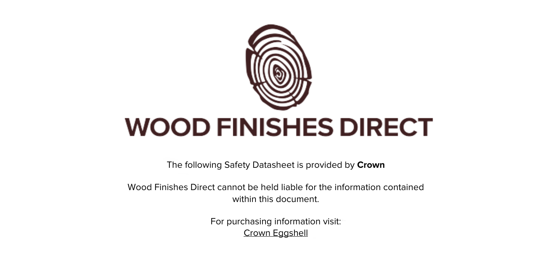

The following Safety Datasheet is provided by **Crown**

Wood Finishes Direct cannot be held liable for the information contained within this document.

> For purchasing information visit: [Crown Eggshell](https://www.wood-finishes-direct.com/product/crown-eggshell)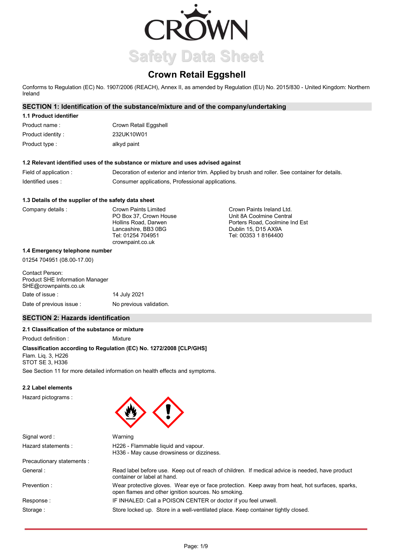

# **Crown Retail Eggshell**

Conforms to Regulation (EC) No. 1907/2006 (REACH), Annex II, as amended by Regulation (EU) No. 2015/830 - United Kingdom: Northern Ireland

## **SECTION 1: Identification of the substance/mixture and of the company/undertaking**

# **1.1 Product identifier**

| Product name :     | Crown Retail Eggshell |
|--------------------|-----------------------|
| Product identity : | 232UK10W01            |
| Product type :     | alkyd paint           |

### **1.2 Relevant identified uses of the substance or mixture and uses advised against**

| Field of application : | Decoration of exterior and interior trim. Applied by brush and roller. See container for details. |
|------------------------|---------------------------------------------------------------------------------------------------|
| Identified uses:       | Consumer applications, Professional applications.                                                 |

#### **1.3 Details of the supplier of the safety data sheet**

| Company details | Crown Paints Limited<br>PO Box 37. Crown House<br>Hollins Road, Darwen<br>Lancashire, BB3 0BG<br>Tel: 01254 704951 | Crown Paints Ireland Ltd.<br>Unit 8A Coolmine Central<br>Porters Road, Coolmine Ind Est<br>Dublin 15, D15 AX9A<br>Tel: 00353 1 8164400 |
|-----------------|--------------------------------------------------------------------------------------------------------------------|----------------------------------------------------------------------------------------------------------------------------------------|
|                 | crownpaint.co.uk                                                                                                   |                                                                                                                                        |

#### **1.4 Emergency telephone number**

01254 704951 (08.00-17.00)

| Contact Person:<br><b>Product SHE Information Manager</b><br>SHE@crownpaints.co.uk |                         |
|------------------------------------------------------------------------------------|-------------------------|
| Date of issue:                                                                     | 14 July 2021            |
| Date of previous issue:                                                            | No previous validation. |

## **SECTION 2: Hazards identification**

#### **2.1 Classification of the substance or mixture**

Product definition : Mixture

# **Classification according to Regulation (EC) No. 1272/2008 [CLP/GHS]**

Flam. Liq. 3, H226 STOT SE 3, H336

See Section 11 for more detailed information on health effects and symptoms.

Warning

### **2.2 Label elements**

Hazard pictograms :



container or label at hand.

Signal word : Hazard statements :

H226 - Flammable liquid and vapour. H336 - May cause drowsiness or dizziness.

open flames and other ignition sources. No smoking.

Precautionary statements : General :

Prevention :

Response : Storage :

IF INHALED: Call a POISON CENTER or doctor if you feel unwell. Store locked up. Store in a well-ventilated place. Keep container tightly closed.

Wear protective gloves. Wear eye or face protection. Keep away from heat, hot surfaces, sparks,

Read label before use. Keep out of reach of children. If medical advice is needed, have product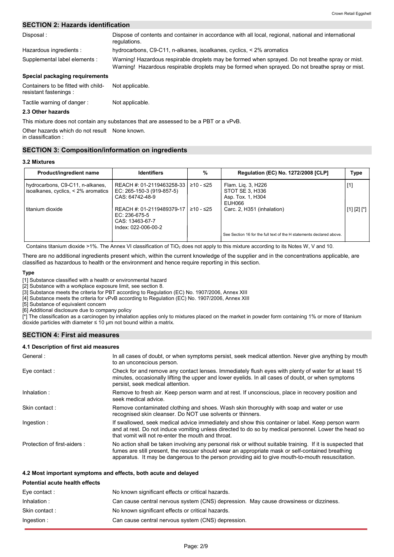## **SECTION 2: Hazards identification**

| Disposal:                                                     | Dispose of contents and container in accordance with all local, regional, national and international<br>regulations.                                                                                 |
|---------------------------------------------------------------|------------------------------------------------------------------------------------------------------------------------------------------------------------------------------------------------------|
| Hazardous ingredients :                                       | hydrocarbons, $C9-C11$ , n-alkanes, isoalkanes, cyclics, $\lt 2\%$ aromatics                                                                                                                         |
| Supplemental label elements :                                 | Warning! Hazardous respirable droplets may be formed when sprayed. Do not breathe spray or mist.<br>Warning! Hazardous respirable droplets may be formed when sprayed. Do not breathe spray or mist. |
| Special packaging requirements                                |                                                                                                                                                                                                      |
| Containers to be fitted with child-<br>resistant fastenings : | Not applicable.                                                                                                                                                                                      |

#### Tactile warning of danger : Not applicable.

### **2.3 Other hazards**

This mixture does not contain any substances that are assessed to be a PBT or a vPvB.

Other hazards which do not result None known.

# in classification :

## **SECTION 3: Composition/information on ingredients**

#### **3.2 Mixtures**

| Product/ingredient name                                                 | <b>Identifiers</b>                                                                   | %           | Regulation (EC) No. 1272/2008 [CLP]                                  | Type           |
|-------------------------------------------------------------------------|--------------------------------------------------------------------------------------|-------------|----------------------------------------------------------------------|----------------|
| hydrocarbons, C9-C11, n-alkanes,<br>isoalkanes, cyclics, < 2% aromatics | REACH #: 01-2119463258-33 l<br>EC: 265-150-3 (919-857-5)<br>CAS: 64742-48-9          | $≥10 - ≤25$ | Flam. Lig. 3, H226<br>STOT SE 3, H336<br>Asp. Tox. 1, H304<br>EUH066 | $[1]$          |
| titanium dioxide                                                        | REACH #: 01-2119489379-17<br>EC: 236-675-5<br>CAS: 13463-67-7<br>Index: 022-006-00-2 | ≥10 - ≤25   | Carc. 2, H351 (inhalation)                                           | $[1] [2] [^*]$ |
|                                                                         |                                                                                      |             | See Section 16 for the full text of the H statements declared above. |                |

Contains titanium dioxide >1%. The Annex VI classification of TiO<sub>2</sub> does not apply to this mixture according to its Notes W, V and 10.

There are no additional ingredients present which, within the current knowledge of the supplier and in the concentrations applicable, are classified as hazardous to health or the environment and hence require reporting in this section.

#### **Type**

[1] Substance classified with a health or environmental hazard

[2] Substance with a workplace exposure limit, see section 8.

[3] Substance meets the criteria for PBT according to Regulation (EC) No. 1907/2006, Annex XIII

[4] Substance meets the criteria for vPvB according to Regulation (EC) No. 1907/2006, Annex XIII

[5] Substance of equivalent concern

[6] Additional disclosure due to company policy

[\*] The classification as a carcinogen by inhalation applies only to mixtures placed on the market in powder form containing 1% or more of titanium dioxide particles with diameter  $\leq 10$  µm not bound within a matrix.

## **SECTION 4: First aid measures**

#### **4.1 Description of first aid measures**

| In all cases of doubt, or when symptoms persist, seek medical attention. Never give anything by mouth<br>to an unconscious person.                                                                                                                                                                                 |
|--------------------------------------------------------------------------------------------------------------------------------------------------------------------------------------------------------------------------------------------------------------------------------------------------------------------|
| Check for and remove any contact lenses. Immediately flush eyes with plenty of water for at least 15<br>minutes, occasionally lifting the upper and lower eyelids. In all cases of doubt, or when symptoms<br>persist, seek medical attention.                                                                     |
| Remove to fresh air. Keep person warm and at rest. If unconscious, place in recovery position and<br>seek medical advice.                                                                                                                                                                                          |
| Remove contaminated clothing and shoes. Wash skin thoroughly with soap and water or use<br>recognised skin cleanser. Do NOT use solvents or thinners.                                                                                                                                                              |
| If swallowed, seek medical advice immediately and show this container or label. Keep person warm<br>and at rest. Do not induce vomiting unless directed to do so by medical personnel. Lower the head so<br>that vomit will not re-enter the mouth and throat.                                                     |
| No action shall be taken involving any personal risk or without suitable training. If it is suspected that<br>fumes are still present, the rescuer should wear an appropriate mask or self-contained breathing<br>apparatus. It may be dangerous to the person providing aid to give mouth-to-mouth resuscitation. |
|                                                                                                                                                                                                                                                                                                                    |

#### **4.2 Most important symptoms and effects, both acute and delayed**

| <b>Potential acute health effects</b> |                                                                                       |
|---------------------------------------|---------------------------------------------------------------------------------------|
| Eye contact :                         | No known significant effects or critical hazards.                                     |
| Inhalation:                           | Can cause central nervous system (CNS) depression. May cause drowsiness or dizziness. |
| Skin contact:                         | No known significant effects or critical hazards.                                     |
| Ingestion :                           | Can cause central nervous system (CNS) depression.                                    |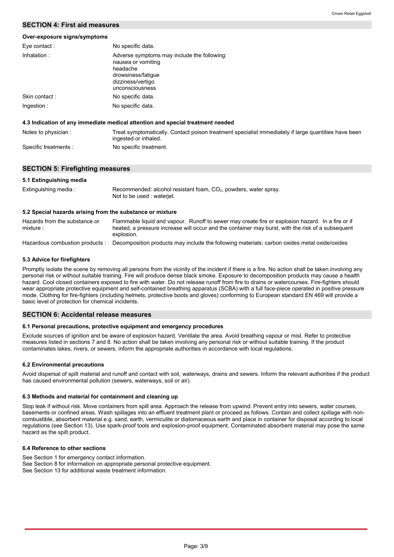## **SECTION 4: First aid measures**

#### **Over-exposure signs/symptoms**

| Eye contact:        | No specific data.                                                                                                                           |
|---------------------|---------------------------------------------------------------------------------------------------------------------------------------------|
| Inhalation:         | Adverse symptoms may include the following:<br>nausea or vomiting<br>headache<br>drowsiness/fatique<br>dizziness/vertigo<br>unconsciousness |
| Skin contact:       | No specific data.                                                                                                                           |
| Ingestion :         | No specific data.                                                                                                                           |
|                     | 4.3 Indication of any immediate medical attention and special treatment needed                                                              |
| Noton to physician. | Treat example matically. Contact poison treatment epocialist immodiately if                                                                 |

| Notes to physician:   | Treat symptomatically. Contact poison treatment specialist immediately if large quantities have been<br>ingested or inhaled. |
|-----------------------|------------------------------------------------------------------------------------------------------------------------------|
|                       |                                                                                                                              |
| Specific treatments : | No specific treatment.                                                                                                       |

## **SECTION 5: Firefighting measures**

| 5.1 Extinguishing media                                   |                                                                                                                                                                                                                      |
|-----------------------------------------------------------|----------------------------------------------------------------------------------------------------------------------------------------------------------------------------------------------------------------------|
| Extinguishing media:                                      | Recommended: alcohol resistant foam, $CO2$ , powders, water spray.<br>Not to be used: wateriet.                                                                                                                      |
| 5.2 Special hazards arising from the substance or mixture |                                                                                                                                                                                                                      |
| Hazards from the substance or<br>mixture:                 | Flammable liquid and vapour. Runoff to sewer may create fire or explosion hazard. In a fire or if<br>heated, a pressure increase will occur and the container may burst, with the risk of a subsequent<br>explosion. |

Hazardous combustion products : Decomposition products may include the following materials: carbon oxides metal oxide/oxides

#### **5.3 Advice for firefighters**

Promptly isolate the scene by removing all persons from the vicinity of the incident if there is a fire. No action shall be taken involving any personal risk or without suitable training. Fire will produce dense black smoke. Exposure to decomposition products may cause a health hazard. Cool closed containers exposed to fire with water. Do not release runoff from fire to drains or watercourses. Fire-fighters should wear appropriate protective equipment and self-contained breathing apparatus (SCBA) with a full face-piece operated in positive pressure mode. Clothing for fire-fighters (including helmets, protective boots and gloves) conforming to European standard EN 469 will provide a basic level of protection for chemical incidents.

## **SECTION 6: Accidental release measures**

#### **6.1 Personal precautions, protective equipment and emergency procedures**

Exclude sources of ignition and be aware of explosion hazard. Ventilate the area. Avoid breathing vapour or mist. Refer to protective measures listed in sections 7 and 8. No action shall be taken involving any personal risk or without suitable training. If the product contaminates lakes, rivers, or sewers, inform the appropriate authorities in accordance with local regulations.

#### **6.2 Environmental precautions**

Avoid dispersal of spilt material and runoff and contact with soil, waterways, drains and sewers. Inform the relevant authorities if the product has caused environmental pollution (sewers, waterways, soil or air).

#### **6.3 Methods and material for containment and cleaning up**

Stop leak if without risk. Move containers from spill area. Approach the release from upwind. Prevent entry into sewers, water courses, basements or confined areas. Wash spillages into an effluent treatment plant or proceed as follows. Contain and collect spillage with noncombustible, absorbent material e.g. sand, earth, vermiculite or diatomaceous earth and place in container for disposal according to local regulations (see Section 13). Use spark-proof tools and explosion-proof equipment. Contaminated absorbent material may pose the same hazard as the spilt product.

#### **6.4 Reference to other sections**

See Section 1 for emergency contact information. See Section 8 for information on appropriate personal protective equipment. See Section 13 for additional waste treatment information.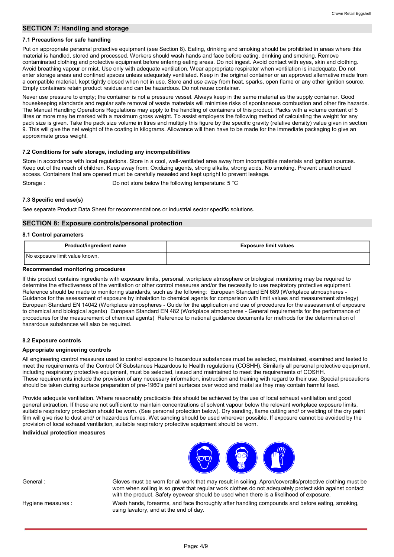## **SECTION 7: Handling and storage**

#### **7.1 Precautions for safe handling**

Put on appropriate personal protective equipment (see Section 8). Eating, drinking and smoking should be prohibited in areas where this material is handled, stored and processed. Workers should wash hands and face before eating, drinking and smoking. Remove contaminated clothing and protective equipment before entering eating areas. Do not ingest. Avoid contact with eyes, skin and clothing. Avoid breathing vapour or mist. Use only with adequate ventilation. Wear appropriate respirator when ventilation is inadequate. Do not enter storage areas and confined spaces unless adequately ventilated. Keep in the original container or an approved alternative made from a compatible material, kept tightly closed when not in use. Store and use away from heat, sparks, open flame or any other ignition source. Empty containers retain product residue and can be hazardous. Do not reuse container.

Never use pressure to empty; the container is not a pressure vessel. Always keep in the same material as the supply container. Good housekeeping standards and regular safe removal of waste materials will minimise risks of spontaneous combustion and other fire hazards. The Manual Handling Operations Regulations may apply to the handling of containers of this product. Packs with a volume content of 5 litres or more may be marked with a maximum gross weight. To assist employers the following method of calculating the weight for any pack size is given. Take the pack size volume in litres and multiply this figure by the specific gravity (relative density) value given in section 9. This will give the net weight of the coating in kilograms. Allowance will then have to be made for the immediate packaging to give an approximate gross weight.

#### **7.2 Conditions for safe storage, including any incompatibilities**

Store in accordance with local regulations. Store in a cool, well-ventilated area away from incompatible materials and ignition sources. Keep out of the reach of children. Keep away from: Oxidizing agents, strong alkalis, strong acids. No smoking. Prevent unauthorized access. Containers that are opened must be carefully resealed and kept upright to prevent leakage. Storage : Do not store below the following temperature: 5 °C

**7.3 Specific end use(s)**

See separate Product Data Sheet for recommendations or industrial sector specific solutions.

#### **SECTION 8: Exposure controls/personal protection**

#### **8.1 Control parameters**

| Product/ingredient name        | <b>Exposure limit values</b> |
|--------------------------------|------------------------------|
| No exposure limit value known. |                              |

#### **Recommended monitoring procedures**

If this product contains ingredients with exposure limits, personal, workplace atmosphere or biological monitoring may be required to determine the effectiveness of the ventilation or other control measures and/or the necessity to use respiratory protective equipment. Reference should be made to monitoring standards, such as the following: European Standard EN 689 (Workplace atmospheres - Guidance for the assessment of exposure by inhalation to chemical agents for comparison with limit values and measurement strategy) European Standard EN 14042 (Workplace atmospheres - Guide for the application and use of procedures for the assessment of exposure to chemical and biological agents) European Standard EN 482 (Workplace atmospheres - General requirements for the performance of procedures for the measurement of chemical agents) Reference to national guidance documents for methods for the determination of hazardous substances will also be required.

#### **8.2 Exposure controls**

#### **Appropriate engineering controls**

All engineering control measures used to control exposure to hazardous substances must be selected, maintained, examined and tested to meet the requirements of the Control Of Substances Hazardous to Health regulations (COSHH). Similarly all personal protective equipment, including respiratory protective equipment, must be selected, issued and maintained to meet the requirements of COSHH. These requirements include the provision of any necessary information, instruction and training with regard to their use. Special precautions should be taken during surface preparation of pre-1960's paint surfaces over wood and metal as they may contain harmful lead.

Provide adequate ventilation. Where reasonably practicable this should be achieved by the use of local exhaust ventilation and good general extraction. If these are not sufficient to maintain concentrations of solvent vapour below the relevant workplace exposure limits, suitable respiratory protection should be worn. (See personal protection below). Dry sanding, flame cutting and/ or welding of the dry paint film will give rise to dust and/ or hazardous fumes. Wet sanding should be used wherever possible. If exposure cannot be avoided by the provision of local exhaust ventilation, suitable respiratory protective equipment should be worn.

#### **Individual protection measures**



General : Gloves must be worn for all work that may result in soiling. Apron/coveralls/protective clothing must be worn when soiling is so great that regular work clothes do not adequately protect skin against contact with the product. Safety eyewear should be used when there is a likelihood of exposure.

Hygiene measures :

Wash hands, forearms, and face thoroughly after handling compounds and before eating, smoking, using lavatory, and at the end of day.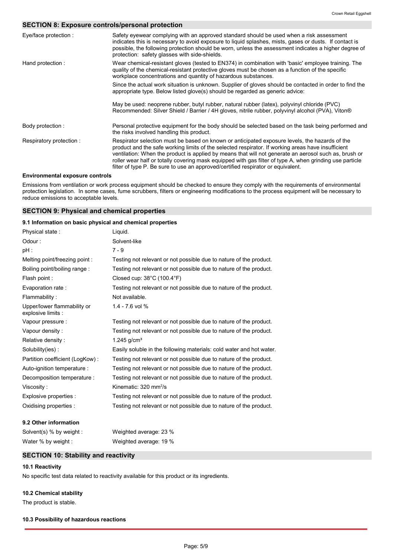# **SECTION 8: Exposure controls/personal protection**

| Eye/face protection :                  | Safety eyewear complying with an approved standard should be used when a risk assessment<br>indicates this is necessary to avoid exposure to liquid splashes, mists, gases or dusts. If contact is<br>possible, the following protection should be worn, unless the assessment indicates a higher degree of<br>protection: safety glasses with side-shields.                                                                                                                                                  |  |  |
|----------------------------------------|---------------------------------------------------------------------------------------------------------------------------------------------------------------------------------------------------------------------------------------------------------------------------------------------------------------------------------------------------------------------------------------------------------------------------------------------------------------------------------------------------------------|--|--|
| Hand protection:                       | Wear chemical-resistant gloves (tested to EN374) in combination with 'basic' employee training. The<br>quality of the chemical-resistant protective gloves must be chosen as a function of the specific<br>workplace concentrations and quantity of hazardous substances.                                                                                                                                                                                                                                     |  |  |
|                                        | Since the actual work situation is unknown. Supplier of gloves should be contacted in order to find the<br>appropriate type. Below listed glove(s) should be regarded as generic advice:                                                                                                                                                                                                                                                                                                                      |  |  |
|                                        | May be used: neoprene rubber, butyl rubber, natural rubber (latex), polyvinyl chloride (PVC)<br>Recommended: Silver Shield / Barrier / 4H gloves, nitrile rubber, polyvinyl alcohol (PVA), Viton®                                                                                                                                                                                                                                                                                                             |  |  |
| Body protection :                      | Personal protective equipment for the body should be selected based on the task being performed and<br>the risks involved handling this product.                                                                                                                                                                                                                                                                                                                                                              |  |  |
| Respiratory protection:                | Respirator selection must be based on known or anticipated exposure levels, the hazards of the<br>product and the safe working limits of the selected respirator. If working areas have insufficient<br>ventilation: When the product is applied by means that will not generate an aerosol such as, brush or<br>roller wear half or totally covering mask equipped with gas filter of type A, when grinding use particle<br>filter of type P. Be sure to use an approved/certified respirator or equivalent. |  |  |
| <b>Environmental exposure controls</b> |                                                                                                                                                                                                                                                                                                                                                                                                                                                                                                               |  |  |

#### Emissions from ventilation or work process equipment should be checked to ensure they comply with the requirements of environmental protection legislation. In some cases, fume scrubbers, filters or engineering modifications to the process equipment will be necessary to reduce emissions to acceptable levels.

## **SECTION 9: Physical and chemical properties**

#### **9.1 Information on basic physical and chemical properties**

| Physical state:                                   | Liguid.                                                              |
|---------------------------------------------------|----------------------------------------------------------------------|
| Odour:                                            | Solvent-like                                                         |
| pH :                                              | $7 - 9$                                                              |
| Melting point/freezing point:                     | Testing not relevant or not possible due to nature of the product.   |
| Boiling point/boiling range:                      | Testing not relevant or not possible due to nature of the product.   |
| Flash point :                                     | Closed cup: $38^{\circ}$ C (100.4 $^{\circ}$ F)                      |
| Evaporation rate:                                 | Testing not relevant or not possible due to nature of the product.   |
| Flammability:                                     | Not available.                                                       |
| Upper/lower flammability or<br>explosive limits : | 1.4 - 7.6 vol %                                                      |
| Vapour pressure :                                 | Testing not relevant or not possible due to nature of the product.   |
| Vapour density:                                   | Testing not relevant or not possible due to nature of the product.   |
| Relative density:                                 | 1.245 $q/cm3$                                                        |
| Solubility(ies):                                  | Easily soluble in the following materials: cold water and hot water. |
| Partition coefficient (LogKow):                   | Testing not relevant or not possible due to nature of the product.   |
| Auto-ignition temperature :                       | Testing not relevant or not possible due to nature of the product.   |
| Decomposition temperature :                       | Testing not relevant or not possible due to nature of the product.   |
| Viscosity:                                        | Kinematic: $320 \text{ mm}^2/\text{s}$                               |
| Explosive properties :                            | Testing not relevant or not possible due to nature of the product.   |
| Oxidising properties :                            | Testing not relevant or not possible due to nature of the product.   |
| 9.2 Other information                             |                                                                      |
| Solvent(s) % by weight :                          | Weighted average: 23 %                                               |

# **SECTION 10: Stability and reactivity**

Water % by weight : Weighted average: 19 %

## **10.1 Reactivity**

No specific test data related to reactivity available for this product or its ingredients.

### **10.2 Chemical stability**

The product is stable.

#### **10.3 Possibility of hazardous reactions**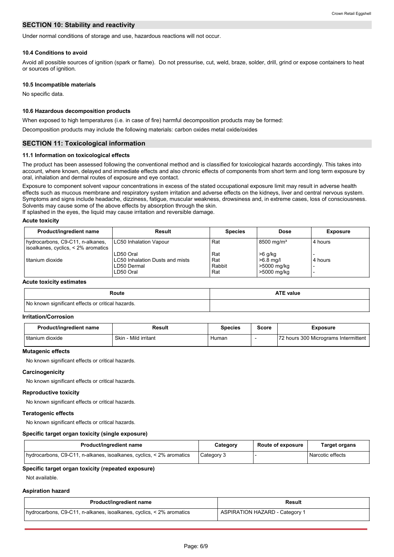## **SECTION 10: Stability and reactivity**

Under normal conditions of storage and use, hazardous reactions will not occur.

#### **10.4 Conditions to avoid**

Avoid all possible sources of ignition (spark or flame). Do not pressurise, cut, weld, braze, solder, drill, grind or expose containers to heat or sources of ignition.

#### **10.5 Incompatible materials**

No specific data.

#### **10.6 Hazardous decomposition products**

When exposed to high temperatures (i.e. in case of fire) harmful decomposition products may be formed:

Decomposition products may include the following materials: carbon oxides metal oxide/oxides

## **SECTION 11: Toxicological information**

#### **11.1 Information on toxicological effects**

The product has been assessed following the conventional method and is classified for toxicological hazards accordingly. This takes into account, where known, delayed and immediate effects and also chronic effects of components from short term and long term exposure by oral, inhalation and dermal routes of exposure and eye contact.

Exposure to component solvent vapour concentrations in excess of the stated occupational exposure limit may result in adverse health effects such as mucous membrane and respiratory system irritation and adverse effects on the kidneys, liver and central nervous system. Symptoms and signs include headache, dizziness, fatigue, muscular weakness, drowsiness and, in extreme cases, loss of consciousness. Solvents may cause some of the above effects by absorption through the skin.

If splashed in the eyes, the liquid may cause irritation and reversible damage.

#### **Acute toxicity**

| Product/ingredient name                                                 | <b>Result</b>                   | <b>Species</b> | Dose                     | <b>Exposure</b> |
|-------------------------------------------------------------------------|---------------------------------|----------------|--------------------------|-----------------|
| hydrocarbons, C9-C11, n-alkanes,<br>isoalkanes, cyclics, < 2% aromatics | LC50 Inhalation Vapour          | Rat            | $8500 \,\mathrm{mq/m^3}$ | 4 hours         |
|                                                                         | LD50 Oral                       | Rat            | $>6$ g/kg                |                 |
| l titanium dioxide                                                      | LC50 Inhalation Dusts and mists | Rat            | $>6.8$ mg/l              | 4 hours         |
|                                                                         | LD50 Dermal                     | Rabbit         | >5000 mg/kg              |                 |
|                                                                         | LD50 Oral                       | Rat            | >5000 mg/kg              |                 |

#### **Acute toxicity estimates**

| Route                                             | <b>ATE value</b> |
|---------------------------------------------------|------------------|
| No known significant effects or critical hazards. |                  |

#### **Irritation/Corrosion**

| Product/ingredient name | Result                    | <b>Species</b> | Score | Exposure                             |
|-------------------------|---------------------------|----------------|-------|--------------------------------------|
| titanium dioxide        | Skin<br>. - Mild irritant | Human          |       | 72 hours 300 Micrograms Intermittent |

#### **Mutagenic effects**

No known significant effects or critical hazards.

#### **Carcinogenicity**

No known significant effects or critical hazards.

## **Reproductive toxicity**

No known significant effects or critical hazards.

#### **Teratogenic effects**

No known significant effects or critical hazards.

#### **Specific target organ toxicity (single exposure)**

| Product/ingredient name                                              | Category   | <b>Route of exposure</b> | Target organs    |
|----------------------------------------------------------------------|------------|--------------------------|------------------|
| hydrocarbons, C9-C11, n-alkanes, isoalkanes, cyclics, < 2% aromatics | Category 3 |                          | Narcotic effects |

#### **Specific target organ toxicity (repeated exposure)**

Not available.

#### **Aspiration hazard**

| Product/ingredient name                                              | <b>Result</b>                         |
|----------------------------------------------------------------------|---------------------------------------|
| hydrocarbons, C9-C11, n-alkanes, isoalkanes, cyclics, < 2% aromatics | <b>ASPIRATION HAZARD - Category 1</b> |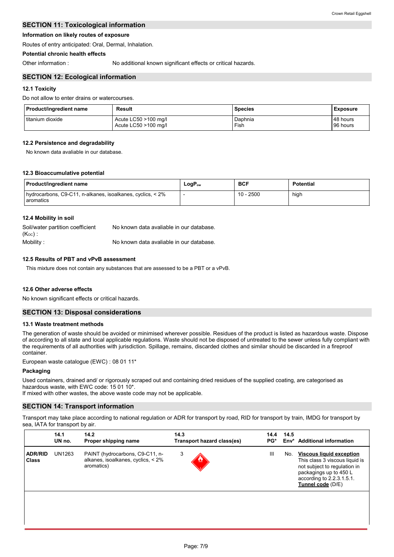## **SECTION 11: Toxicological information**

## **Information on likely routes of exposure**

Routes of entry anticipated: Oral, Dermal, Inhalation.

## **Potential chronic health effects**

Other information : No additional known significant effects or critical hazards.

## **SECTION 12: Ecological information**

## **12.1 Toxicity**

Do not allow to enter drains or watercourses.

| Product/ingredient name | Result               | <b>Species</b> | <b>Exposure</b> |
|-------------------------|----------------------|----------------|-----------------|
| I titanium dioxide      | Acute LC50 >100 mg/l | Daphnia        | 48 hours        |
|                         | Acute LC50 >100 mg/l | Fish           | 96 hours        |

## **12.2 Persistence and degradability**

No known data avaliable in our database.

### **12.3 Bioaccumulative potential**

| Product/ingredient name                                                 | LogP <sub>ow</sub> | <b>BCF</b>  | <b>Potential</b> |
|-------------------------------------------------------------------------|--------------------|-------------|------------------|
| hydrocarbons, C9-C11, n-alkanes, isoalkanes, cyclics, < 2%<br>aromatics |                    | $10 - 2500$ | high             |

### **12.4 Mobility in soil**

| Soil/water partition coefficient<br>$(K_{OC})$ . | No known data avaliable in our database. |
|--------------------------------------------------|------------------------------------------|
| Mobility:                                        | No known data avaliable in our database. |

## **12.5 Results of PBT and vPvB assessment**

This mixture does not contain any substances that are assessed to be a PBT or a vPvB.

### **12.6 Other adverse effects**

No known significant effects or critical hazards.

### **SECTION 13: Disposal considerations**

### **13.1 Waste treatment methods**

The generation of waste should be avoided or minimised wherever possible. Residues of the product is listed as hazardous waste. Dispose of according to all state and local applicable regulations. Waste should not be disposed of untreated to the sewer unless fully compliant with the requirements of all authorities with jurisdiction. Spillage, remains, discarded clothes and similar should be discarded in a fireproof container.

European waste catalogue (EWC) : 08 01 11\*

### **Packaging**

Used containers, drained and/ or rigorously scraped out and containing dried residues of the supplied coating, are categorised as hazardous waste, with EWC code: 15 01 10\*.

If mixed with other wastes, the above waste code may not be applicable.

## **SECTION 14: Transport information**

Transport may take place according to national regulation or ADR for transport by road, RID for transport by train, IMDG for transport by sea, IATA for transport by air.

|                                | 14.1<br>UN no. | 14.2<br>Proper shipping name                                                        | 14.3<br>Transport hazard class(es) | 14.4<br>PG* | 14.5<br>Env* | <b>Additional information</b>                                                                                                                                                 |
|--------------------------------|----------------|-------------------------------------------------------------------------------------|------------------------------------|-------------|--------------|-------------------------------------------------------------------------------------------------------------------------------------------------------------------------------|
| <b>ADR/RID</b><br><b>Class</b> | UN1263         | PAINT (hydrocarbons, C9-C11, n-<br>alkanes, isoalkanes, cyclics, < 2%<br>aromatics) | 3                                  | Ш           | No.          | <b>Viscous liquid exception</b><br>This class 3 viscous liquid is<br>not subject to regulation in<br>packagings up to 450 L<br>according to 2.2.3.1.5.1.<br>Tunnel code (D/E) |
|                                |                |                                                                                     |                                    |             |              |                                                                                                                                                                               |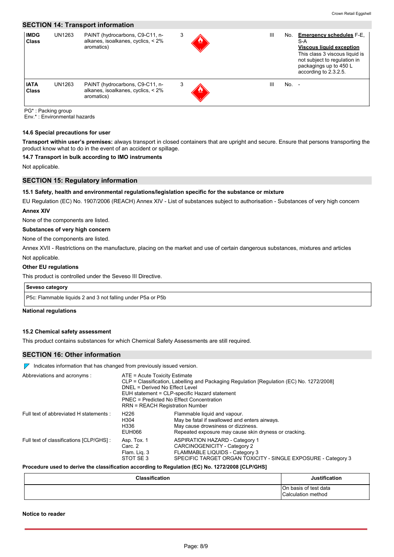#### **SECTION 14: Transport information IMDG** UN1263 **Class** PAINT (hydrocarbons, C9-C11, nalkanes, isoalkanes, cyclics, < 2% aromatics)  $3 \quad \& \quad \qquad$ **IATA Class** PAINT (hydrocarbons, C9-C11, nalkanes, isoalkanes, cyclics, < 2% aromatics)  $3 \quad \& \quad \qquad$  III No. -No. **Emergency schedules** F-E, S-A **Viscous liquid exception** This class 3 viscous liquid is not subject to regulation in packagings up to 450 L according to 2.3.2.5.

PG\* : Packing group

Env.\* : Environmental hazards

#### **14.6 Special precautions for user**

**Transport within user's premises:** always transport in closed containers that are upright and secure. Ensure that persons transporting the product know what to do in the event of an accident or spillage.

#### **14.7 Transport in bulk according to IMO instruments**

Not applicable.

## **SECTION 15: Regulatory information**

#### **15.1 Safety, health and environmental regulations/legislation specific for the substance or mixture**

EU Regulation (EC) No. 1907/2006 (REACH) Annex XIV - List of substances subject to authorisation - Substances of very high concern

## **Annex XIV**

None of the components are listed.

# **Substances of very high concern**

None of the components are listed.

Not applicable. Annex XVII - Restrictions on the manufacture, placing on the market and use of certain dangerous substances, mixtures and articles

#### **Other EU regulations**

This product is controlled under the Seveso III Directive.

### **Seveso category**

P5c: Flammable liquids 2 and 3 not falling under P5a or P5b

#### **National regulations**

#### **15.2 Chemical safety assessment**

This product contains substances for which Chemical Safety Assessments are still required.

## **SECTION 16: Other information**

 $\nabla$  Indicates information that has changed from previously issued version.

| Abbreviations and acronyms :             | ATE = Acute Toxicity Estimate<br>CLP = Classification, Labelling and Packaging Regulation [Regulation (EC) No. 1272/2008]<br>DNEL = Derived No Effect Level<br>EUH statement = CLP-specific Hazard statement<br>PNEC = Predicted No Effect Concentration<br>RRN = REACH Registration Number |                                                                                                                                                                              |  |
|------------------------------------------|---------------------------------------------------------------------------------------------------------------------------------------------------------------------------------------------------------------------------------------------------------------------------------------------|------------------------------------------------------------------------------------------------------------------------------------------------------------------------------|--|
| Full text of abbreviated H statements :  | H <sub>226</sub><br>H304<br>H336<br>EUH066                                                                                                                                                                                                                                                  | Flammable liquid and vapour.<br>May be fatal if swallowed and enters airways.<br>May cause drowsiness or dizziness.<br>Repeated exposure may cause skin dryness or cracking. |  |
| Full text of classifications [CLP/GHS] : | Asp. Tox. 1<br>Carc. 2<br>Flam. Lig. 3<br>STOT SE3                                                                                                                                                                                                                                          | ASPIRATION HAZARD - Category 1<br>CARCINOGENICITY - Category 2<br>FLAMMABLE LIQUIDS - Category 3<br>SPECIFIC TARGET ORGAN TOXICITY - SINGLE EXPOSURE - Category 3            |  |

#### **Procedure used to derive the classification according to Regulation (EC) No. 1272/2008 [CLP/GHS]**

| <b>Classification</b> | <b>Justification</b>                        |
|-----------------------|---------------------------------------------|
|                       | On basis of test data<br>Calculation method |

**Notice to reader**